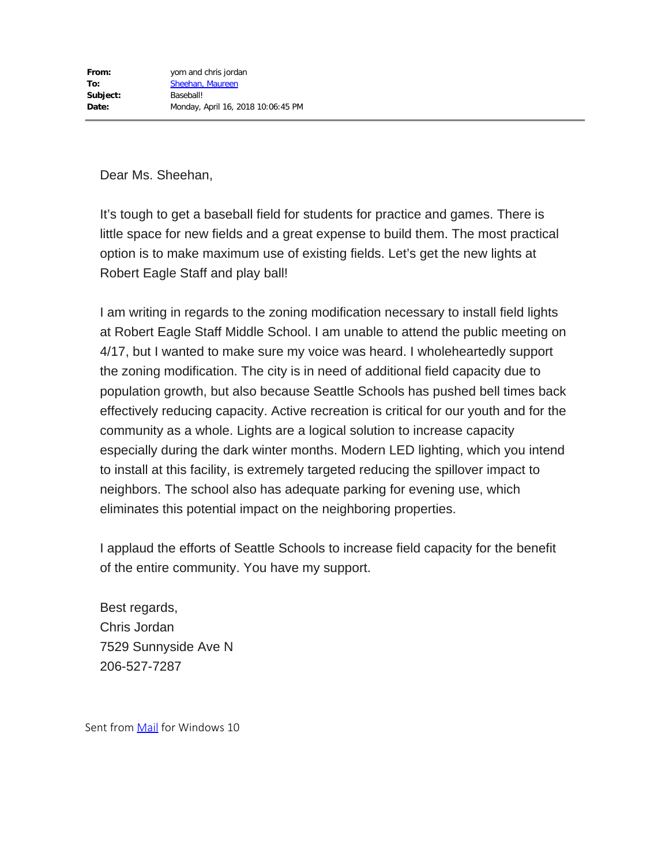It's tough to get a baseball field for students for practice and games. There is little space for new fields and a great expense to build them. The most practical option is to make maximum use of existing fields. Let's get the new lights at Robert Eagle Staff and play ball!

I am writing in regards to the zoning modification necessary to install field lights at Robert Eagle Staff Middle School. I am unable to attend the public meeting on 4/17, but I wanted to make sure my voice was heard. I wholeheartedly support the zoning modification. The city is in need of additional field capacity due to population growth, but also because Seattle Schools has pushed bell times back effectively reducing capacity. Active recreation is critical for our youth and for the community as a whole. Lights are a logical solution to increase capacity especially during the dark winter months. Modern LED lighting, which you intend to install at this facility, is extremely targeted reducing the spillover impact to neighbors. The school also has adequate parking for evening use, which eliminates this potential impact on the neighboring properties.

I applaud the efforts of Seattle Schools to increase field capacity for the benefit of the entire community. You have my support.

Best regards, Chris Jordan 7529 Sunnyside Ave N 206-527-7287

Sent from [Mail](https://go.microsoft.com/fwlink/?LinkId=550986) for Windows 10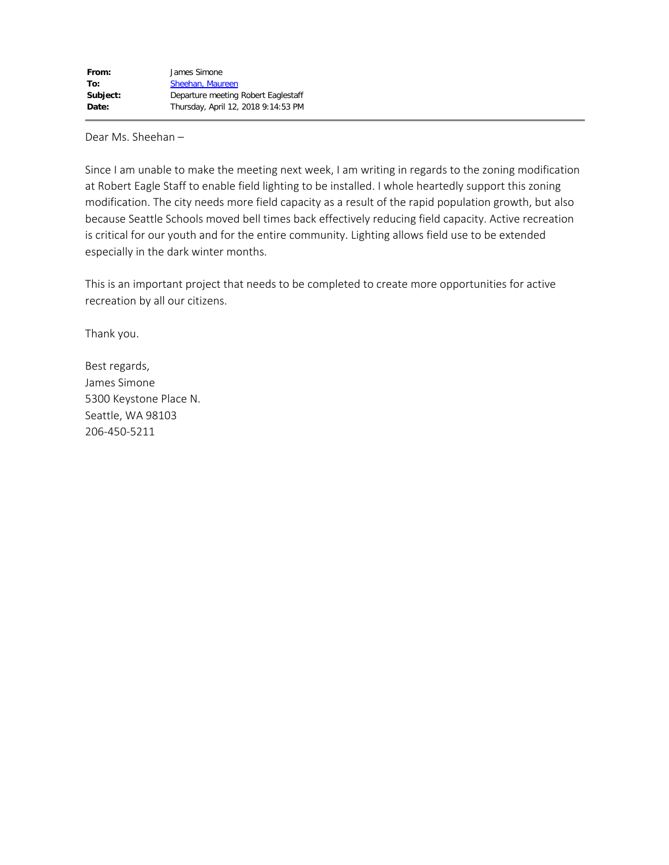Since I am unable to make the meeting next week, I am writing in regards to the zoning modification at Robert Eagle Staff to enable field lighting to be installed. I whole heartedly support this zoning modification. The city needs more field capacity as a result of the rapid population growth, but also because Seattle Schools moved bell times back effectively reducing field capacity. Active recreation is critical for our youth and for the entire community. Lighting allows field use to be extended especially in the dark winter months.

This is an important project that needs to be completed to create more opportunities for active recreation by all our citizens.

Thank you.

Best regards, James Simone 5300 Keystone Place N. Seattle, WA 98103 206-450-5211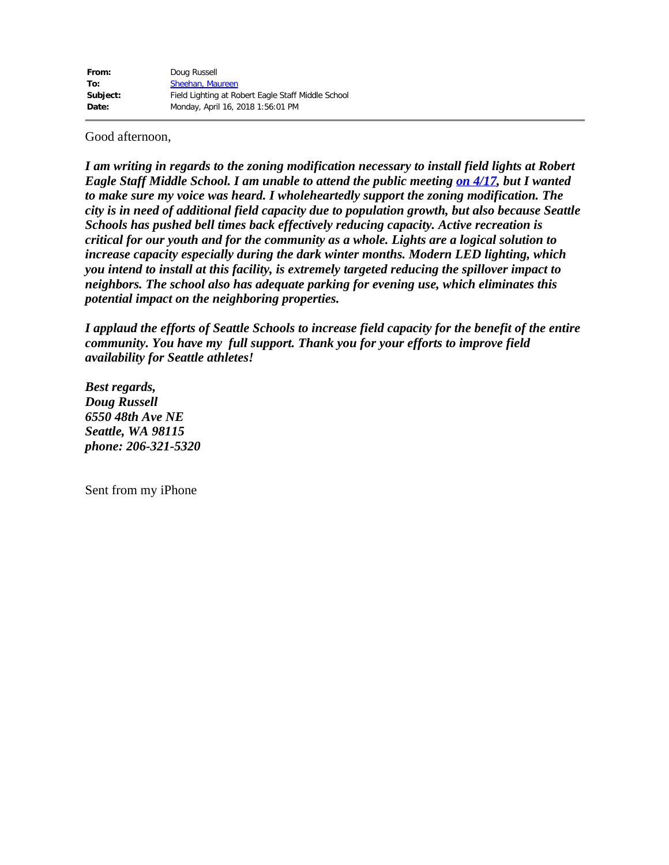## Good afternoon,

*I am writing in regards to the zoning modification necessary to install field lights at Robert Eagle Staff Middle School. I am unable to attend the public meeting on [4/17](x-apple-data-detectors://4/), but I wanted to make sure my voice was heard. I wholeheartedly support the zoning modification. The city is in need of additional field capacity due to population growth, but also because Seattle Schools has pushed bell times back effectively reducing capacity. Active recreation is critical for our youth and for the community as a whole. Lights are a logical solution to increase capacity especially during the dark winter months. Modern LED lighting, which you intend to install at this facility, is extremely targeted reducing the spillover impact to neighbors. The school also has adequate parking for evening use, which eliminates this potential impact on the neighboring properties.*

*I applaud the efforts of Seattle Schools to increase field capacity for the benefit of the entire community. You have my full support. Thank you for your efforts to improve field availability for Seattle athletes!*

*Best regards, Doug Russell 6550 48th Ave NE Seattle, WA 98115 phone: 206-321-5320*

Sent from my iPhone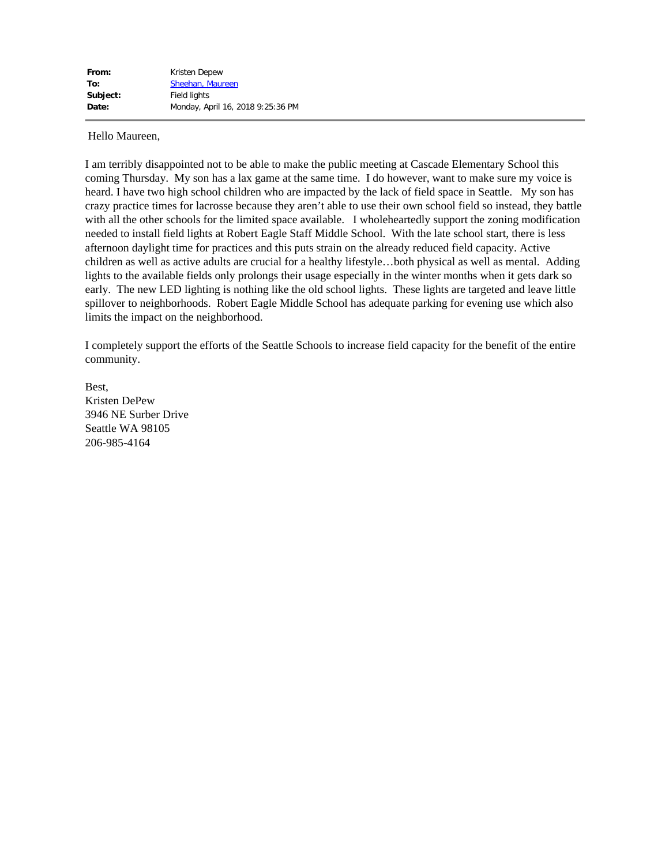Hello Maureen,

I am terribly disappointed not to be able to make the public meeting at Cascade Elementary School this coming Thursday. My son has a lax game at the same time. I do however, want to make sure my voice is heard. I have two high school children who are impacted by the lack of field space in Seattle. My son has crazy practice times for lacrosse because they aren't able to use their own school field so instead, they battle with all the other schools for the limited space available. I wholeheartedly support the zoning modification needed to install field lights at Robert Eagle Staff Middle School. With the late school start, there is less afternoon daylight time for practices and this puts strain on the already reduced field capacity. Active children as well as active adults are crucial for a healthy lifestyle…both physical as well as mental. Adding lights to the available fields only prolongs their usage especially in the winter months when it gets dark so early. The new LED lighting is nothing like the old school lights. These lights are targeted and leave little spillover to neighborhoods. Robert Eagle Middle School has adequate parking for evening use which also limits the impact on the neighborhood.

I completely support the efforts of the Seattle Schools to increase field capacity for the benefit of the entire community.

Best, Kristen DePew 3946 NE Surber Drive Seattle WA 98105 206-985-4164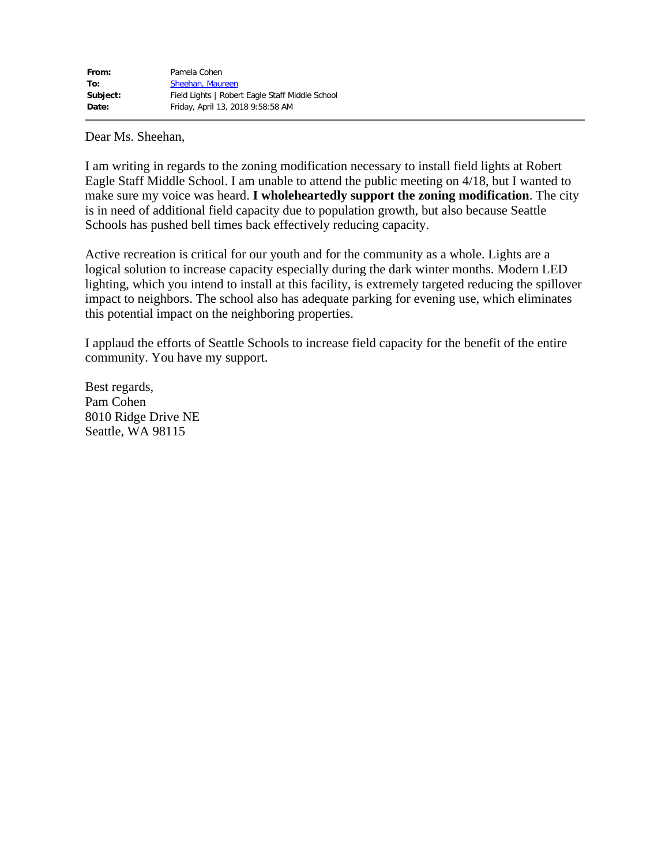I am writing in regards to the zoning modification necessary to install field lights at Robert Eagle Staff Middle School. I am unable to attend the public meeting on 4/18, but I wanted to make sure my voice was heard. **I wholeheartedly support the zoning modification**. The city is in need of additional field capacity due to population growth, but also because Seattle Schools has pushed bell times back effectively reducing capacity.

Active recreation is critical for our youth and for the community as a whole. Lights are a logical solution to increase capacity especially during the dark winter months. Modern LED lighting, which you intend to install at this facility, is extremely targeted reducing the spillover impact to neighbors. The school also has adequate parking for evening use, which eliminates this potential impact on the neighboring properties.

I applaud the efforts of Seattle Schools to increase field capacity for the benefit of the entire community. You have my support.

Best regards, Pam Cohen 8010 Ridge Drive NE Seattle, WA 98115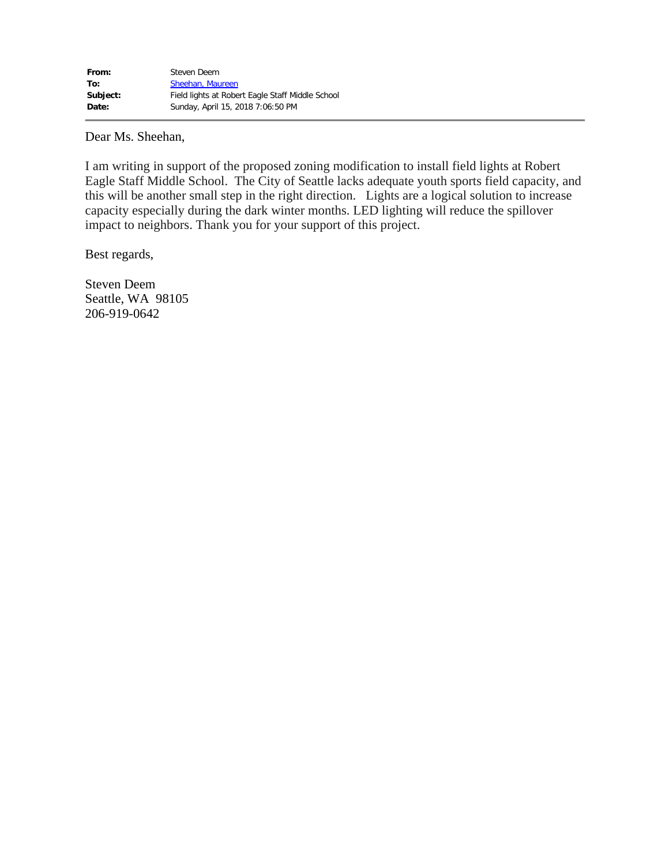I am writing in support of the proposed zoning modification to install field lights at Robert Eagle Staff Middle School. The City of Seattle lacks adequate youth sports field capacity, and this will be another small step in the right direction. Lights are a logical solution to increase capacity especially during the dark winter months. LED lighting will reduce the spillover impact to neighbors. Thank you for your support of this project.

Best regards,

Steven Deem Seattle, WA 98105 206-919-0642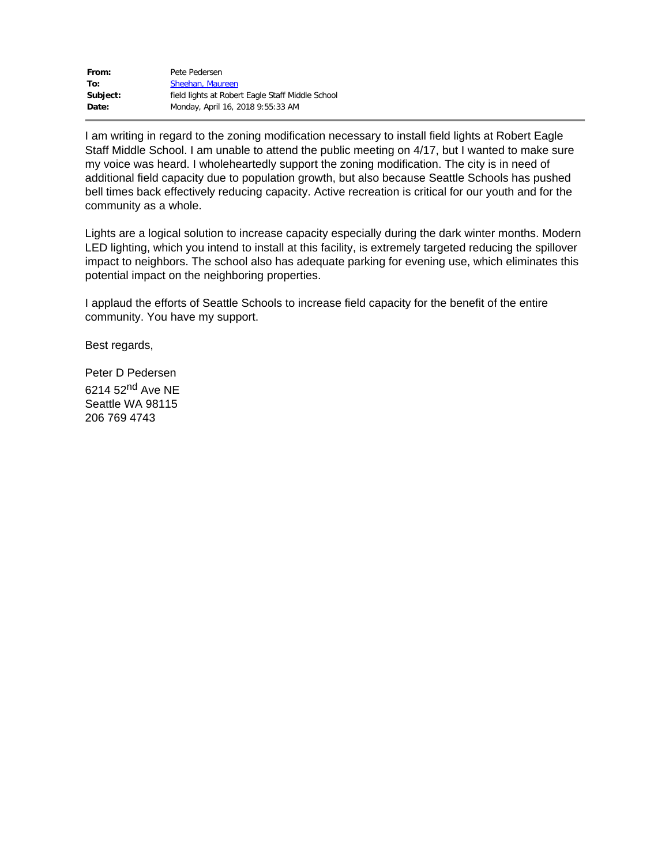| From:    | Pete Pedersen                                    |
|----------|--------------------------------------------------|
| To:      | Sheehan, Maureen                                 |
| Subject: | field lights at Robert Eagle Staff Middle School |
| Date:    | Monday, April 16, 2018 9:55:33 AM                |

I am writing in regard to the zoning modification necessary to install field lights at Robert Eagle Staff Middle School. I am unable to attend the public meeting on 4/17, but I wanted to make sure my voice was heard. I wholeheartedly support the zoning modification. The city is in need of additional field capacity due to population growth, but also because Seattle Schools has pushed bell times back effectively reducing capacity. Active recreation is critical for our youth and for the community as a whole.

Lights are a logical solution to increase capacity especially during the dark winter months. Modern LED lighting, which you intend to install at this facility, is extremely targeted reducing the spillover impact to neighbors. The school also has adequate parking for evening use, which eliminates this potential impact on the neighboring properties.

I applaud the efforts of Seattle Schools to increase field capacity for the benefit of the entire community. You have my support.

Best regards,

Peter D Pedersen 6214 52<sup>nd</sup> Ave NE Seattle WA 98115 206 769 4743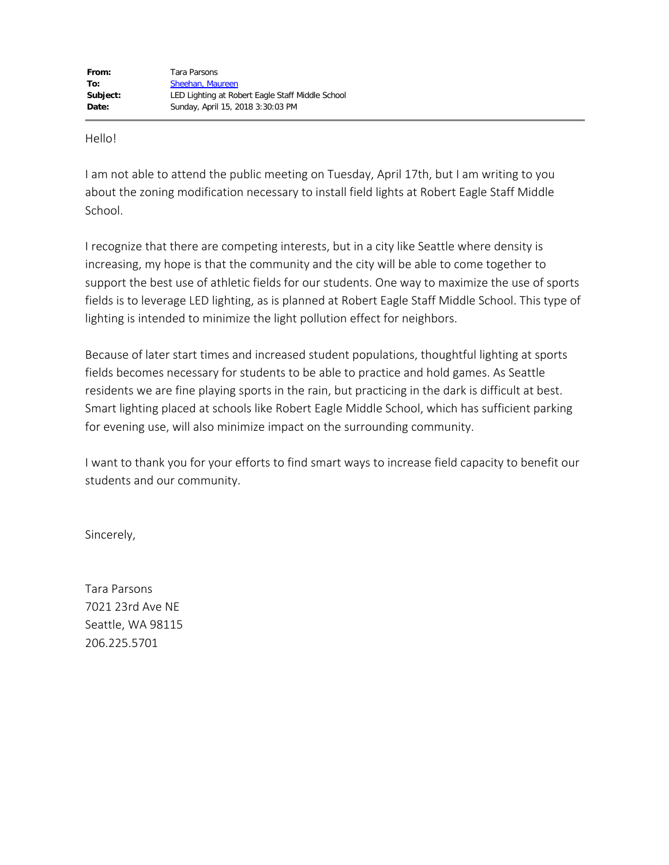Hello!

I am not able to attend the public meeting on Tuesday, April 17th, but I am writing to you about the zoning modification necessary to install field lights at Robert Eagle Staff Middle School.

I recognize that there are competing interests, but in a city like Seattle where density is increasing, my hope is that the community and the city will be able to come together to support the best use of athletic fields for our students. One way to maximize the use of sports fields is to leverage LED lighting, as is planned at Robert Eagle Staff Middle School. This type of lighting is intended to minimize the light pollution effect for neighbors.

Because of later start times and increased student populations, thoughtful lighting at sports fields becomes necessary for students to be able to practice and hold games. As Seattle residents we are fine playing sports in the rain, but practicing in the dark is difficult at best. Smart lighting placed at schools like Robert Eagle Middle School, which has sufficient parking for evening use, will also minimize impact on the surrounding community.

I want to thank you for your efforts to find smart ways to increase field capacity to benefit our students and our community.

Sincerely,

Tara Parsons 7021 23rd Ave NE Seattle, WA 98115 206.225.5701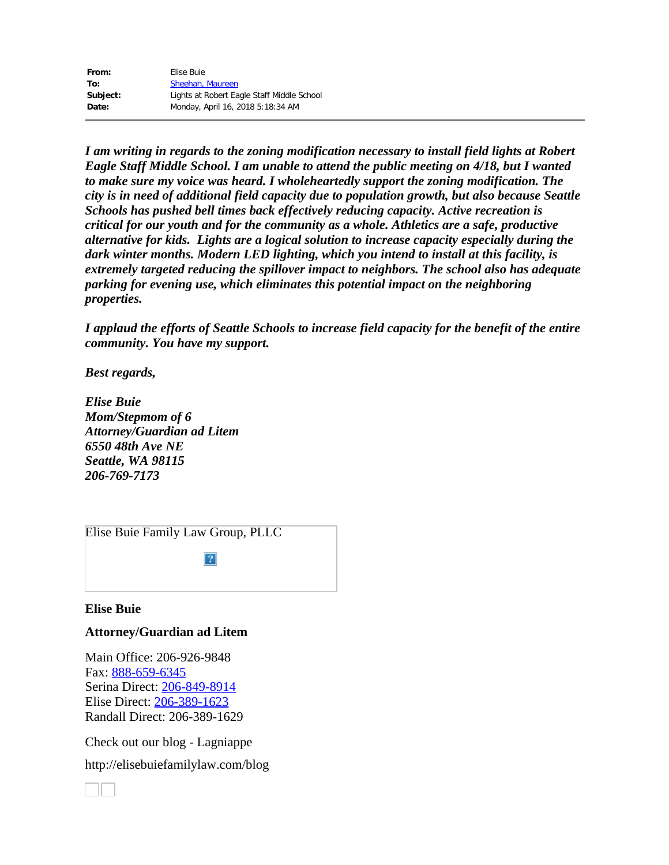| From:    | Elise Buie                                 |
|----------|--------------------------------------------|
| To:      | Sheehan, Maureen                           |
| Subject: | Lights at Robert Eagle Staff Middle School |
| Date:    | Monday, April 16, 2018 5:18:34 AM          |

*I am writing in regards to the zoning modification necessary to install field lights at Robert Eagle Staff Middle School. I am unable to attend the public meeting on 4/18, but I wanted to make sure my voice was heard. I wholeheartedly support the zoning modification. The city is in need of additional field capacity due to population growth, but also because Seattle Schools has pushed bell times back effectively reducing capacity. Active recreation is critical for our youth and for the community as a whole. Athletics are a safe, productive alternative for kids. Lights are a logical solution to increase capacity especially during the dark winter months. Modern LED lighting, which you intend to install at this facility, is extremely targeted reducing the spillover impact to neighbors. The school also has adequate parking for evening use, which eliminates this potential impact on the neighboring properties.*

*I applaud the efforts of Seattle Schools to increase field capacity for the benefit of the entire community. You have my support.*

*Best regards,*

*Elise Buie Mom/Stepmom of 6 Attorney/Guardian ad Litem 6550 48th Ave NE Seattle, WA 98115 206-769-7173*

[Elise Buie Family Law Group, PLLC](http://elisebuiefamilylaw.com/)

 $\overline{?}$ 

### **Elise Buie**

# **Attorney/Guardian ad Litem**

Main Office: 206-926-9848 Fax: [888-659-6345](tel:888-659-6345) Serina Direct: [206-849-8914](tel:206-849-8914) Elise Direct: [206-389-1623](tel:206-389-1623) Randall Direct: 206-389-1629

Check out our blog - Lagniappe

http://elisebuiefamilylaw.com/blog

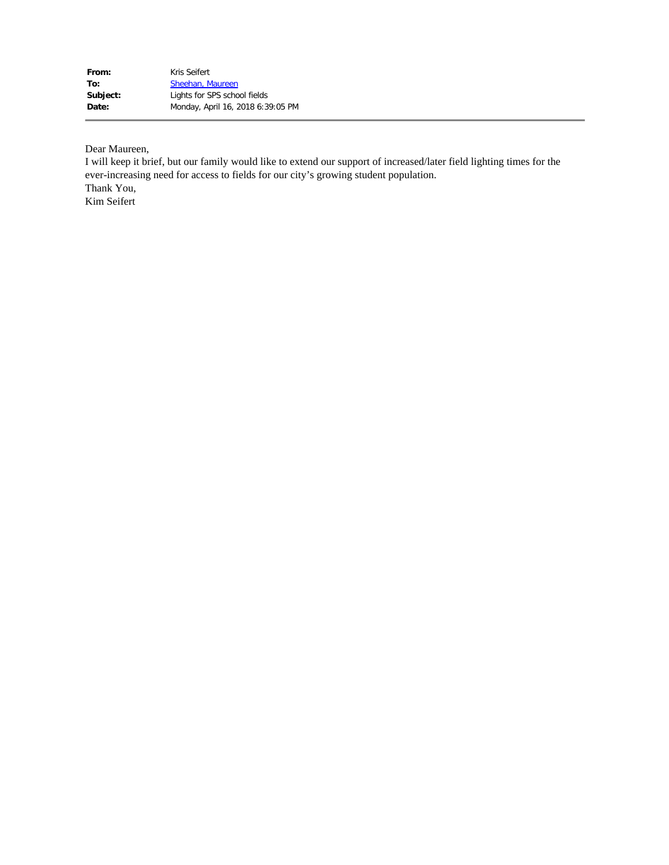| From:    | Kris Seifert                      |
|----------|-----------------------------------|
| To:      | Sheehan, Maureen                  |
| Subject: | Lights for SPS school fields      |
| Date:    | Monday, April 16, 2018 6:39:05 PM |

Dear Maureen,

I will keep it brief, but our family would like to extend our support of increased/later field lighting times for the ever-increasing need for access to fields for our city's growing student population. Thank You, Kim Seifert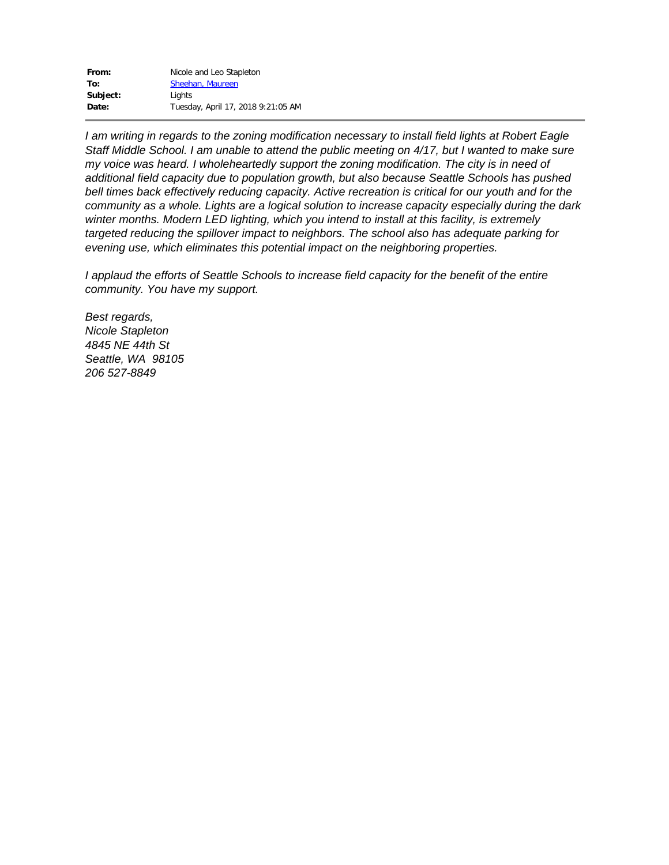| From:    | Nicole and Leo Stapleton           |
|----------|------------------------------------|
| To:      | Sheehan, Maureen                   |
| Subject: | Lights                             |
| Date:    | Tuesday, April 17, 2018 9:21:05 AM |

*I am writing in regards to the zoning modification necessary to install field lights at Robert Eagle* Staff Middle School. I am unable to attend the public meeting on 4/17, but I wanted to make sure *my voice was heard. I wholeheartedly support the zoning modification. The city is in need of additional field capacity due to population growth, but also because Seattle Schools has pushed bell times back effectively reducing capacity. Active recreation is critical for our youth and for the community as a whole. Lights are a logical solution to increase capacity especially during the dark winter months. Modern LED lighting, which you intend to install at this facility, is extremely targeted reducing the spillover impact to neighbors. The school also has adequate parking for evening use, which eliminates this potential impact on the neighboring properties.*

*I applaud the efforts of Seattle Schools to increase field capacity for the benefit of the entire community. You have my support.*

*Best regards, Nicole Stapleton 4845 NE 44th St Seattle, WA 98105 206 527-8849*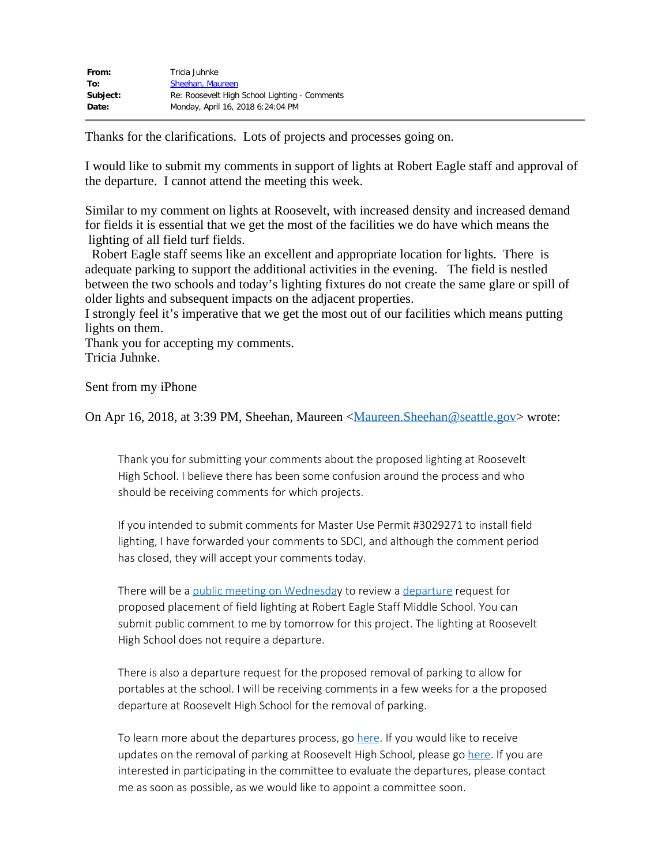| From:    | Tricia Juhnke                                 |
|----------|-----------------------------------------------|
| To:      | Sheehan, Maureen                              |
| Subject: | Re: Roosevelt High School Lighting - Comments |
| Date:    | Monday, April 16, 2018 6:24:04 PM             |

Thanks for the clarifications. Lots of projects and processes going on.

I would like to submit my comments in support of lights at Robert Eagle staff and approval of the departure. I cannot attend the meeting this week.

Similar to my comment on lights at Roosevelt, with increased density and increased demand for fields it is essential that we get the most of the facilities we do have which means the lighting of all field turf fields.

 Robert Eagle staff seems like an excellent and appropriate location for lights. There is adequate parking to support the additional activities in the evening. The field is nestled between the two schools and today's lighting fixtures do not create the same glare or spill of older lights and subsequent impacts on the adjacent properties.

I strongly feel it's imperative that we get the most out of our facilities which means putting lights on them.

Thank you for accepting my comments. Tricia Juhnke.

Sent from my iPhone

On Apr 16, 2018, at 3:39 PM, Sheehan, Maureen <**Maureen.** Sheehan @seattle.gov> wrote:

Thank you for submitting your comments about the proposed lighting at Roosevelt High School. I believe there has been some confusion around the process and who should be receiving comments for which projects.

If you intended to submit comments for Master Use Permit #3029271 to install field lighting, I have forwarded your comments to SDCI, and although the comment period has closed, they will accept your comments today.

There will be a [public meeting on Wednesda](http://www.seattle.gov/neighborhoods/programs-and-services/major-institutions-and-schools/school-departures-advisory-committees/robert-eagle-staff-middle-school)y to review a [departure](http://www.seattle.gov/neighborhoods/programs-and-services/major-institutions-and-schools/school-departures-advisory-committees/robert-eagle-staff-middle-school) request for proposed placement of field lighting at Robert Eagle Staff Middle School. You can submit public comment to me by tomorrow for this project. The lighting at Roosevelt High School does not require a departure.

There is also a departure request for the proposed removal of parking to allow for portables at the school. I will be receiving comments in a few weeks for a the proposed departure at Roosevelt High School for the removal of parking.

To learn more about the departures process, go [here](http://www.seattle.gov/neighborhoods/programs-and-services/major-institutions-and-schools/school-departures-advisory-committees/robert-eagle-staff-middle-school). If you would like to receive updates on the removal of parking at Roosevelt High School, please go [here](http://www.seattle.gov/neighborhoods/programs-and-services/major-institutions-and-schools/school-departures-advisory-committees/roosevelt-high-school). If you are interested in participating in the committee to evaluate the departures, please contact me as soon as possible, as we would like to appoint a committee soon.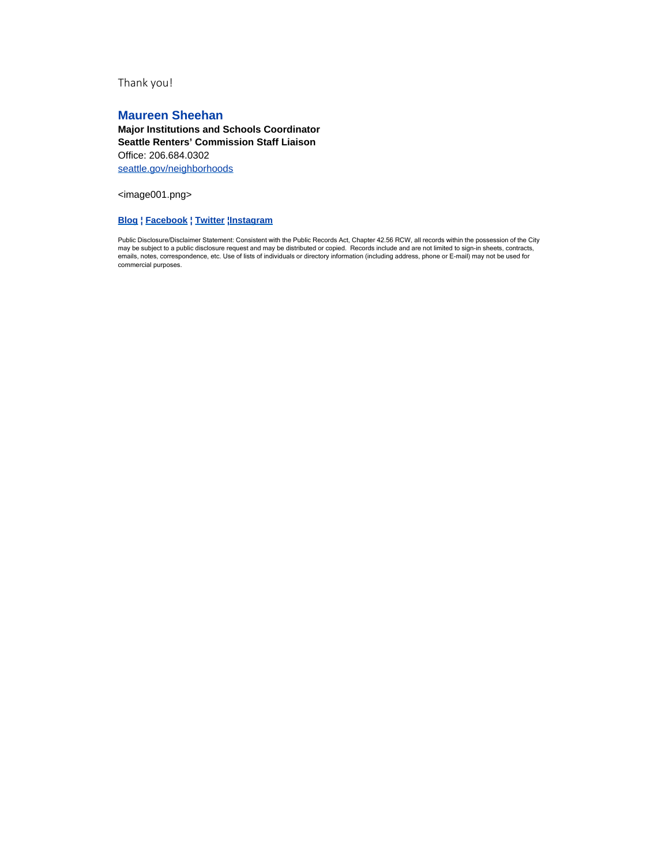Thank you!

# **Maureen Sheehan**

**Major Institutions and Schools Coordinator Seattle Renters' Commission Staff Liaison** Office: 206.684.0302 [seattle.gov/neighborhoods](http://www.seattle.gov/neighborhoods/)

<image001.png>

#### **[Blog](http://frontporch.seattle.gov/) ¦ [Facebook](https://www.facebook.com/SeattleNeighborhoods/) ¦ [Twitter](https://twitter.com/SeaNeighborhood) [¦Instagram](https://www.instagram.com/seattle_neighborhoods)**

Public Disclosure/Disclaimer Statement: Consistent with the Public Records Act, Chapter 42.56 RCW, all records within the possession of the City<br>may be subject to a public disclosure request and may be distributed or copie commercial purposes.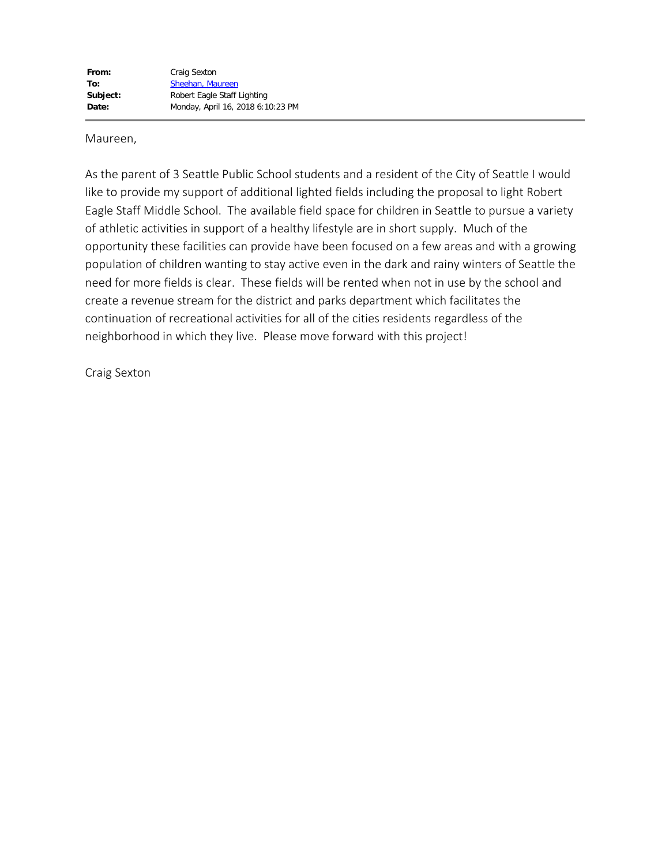Maureen,

As the parent of 3 Seattle Public School students and a resident of the City of Seattle I would like to provide my support of additional lighted fields including the proposal to light Robert Eagle Staff Middle School. The available field space for children in Seattle to pursue a variety of athletic activities in support of a healthy lifestyle are in short supply. Much of the opportunity these facilities can provide have been focused on a few areas and with a growing population of children wanting to stay active even in the dark and rainy winters of Seattle the need for more fields is clear. These fields will be rented when not in use by the school and create a revenue stream for the district and parks department which facilitates the continuation of recreational activities for all of the cities residents regardless of the neighborhood in which they live. Please move forward with this project!

Craig Sexton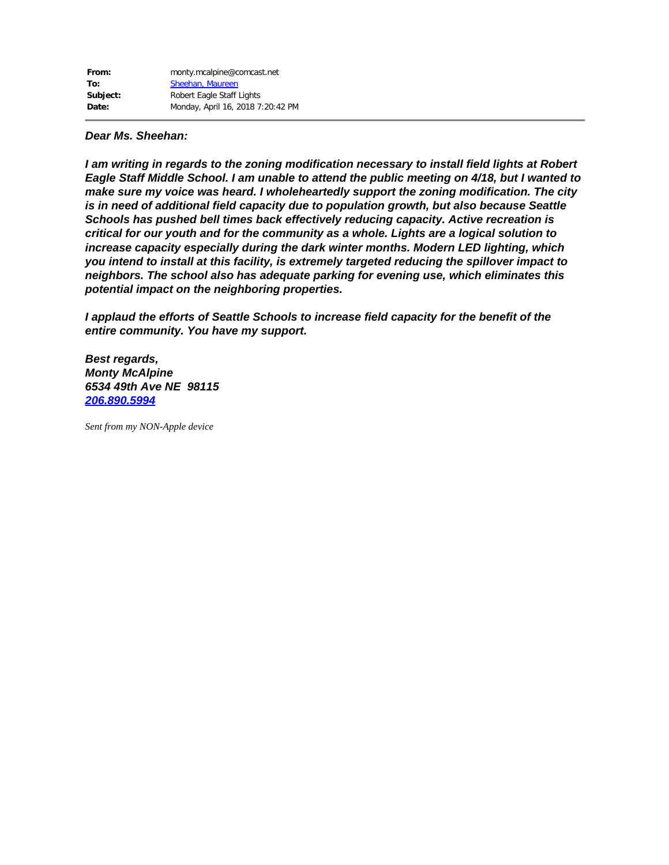*I am writing in regards to the zoning modification necessary to install field lights at Robert Eagle Staff Middle School. I am unable to attend the public meeting on 4/18, but I wanted to make sure my voice was heard. I wholeheartedly support the zoning modification. The city is in need of additional field capacity due to population growth, but also because Seattle Schools has pushed bell times back effectively reducing capacity. Active recreation is critical for our youth and for the community as a whole. Lights are a logical solution to increase capacity especially during the dark winter months. Modern LED lighting, which you intend to install at this facility, is extremely targeted reducing the spillover impact to neighbors. The school also has adequate parking for evening use, which eliminates this potential impact on the neighboring properties.*

*I applaud the efforts of Seattle Schools to increase field capacity for the benefit of the entire community. You have my support.*

*Best regards, Monty McAlpine 6534 49th Ave NE 98115 [206.890.5994](tel:206.890.5994)*

*Sent from my NON-Apple device*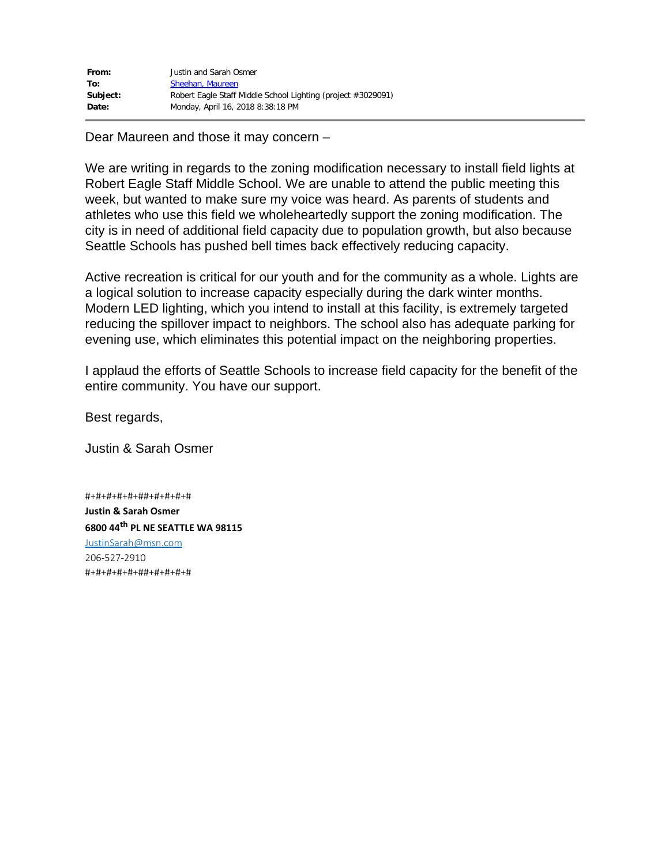| From:    | Justin and Sarah Osmer                                       |
|----------|--------------------------------------------------------------|
| To:      | Sheehan, Maureen                                             |
| Subject: | Robert Eagle Staff Middle School Lighting (project #3029091) |
| Date:    | Monday, April 16, 2018 8:38:18 PM                            |

Dear Maureen and those it may concern –

We are writing in regards to the zoning modification necessary to install field lights at Robert Eagle Staff Middle School. We are unable to attend the public meeting this week, but wanted to make sure my voice was heard. As parents of students and athletes who use this field we wholeheartedly support the zoning modification. The city is in need of additional field capacity due to population growth, but also because Seattle Schools has pushed bell times back effectively reducing capacity.

Active recreation is critical for our youth and for the community as a whole. Lights are a logical solution to increase capacity especially during the dark winter months. Modern LED lighting, which you intend to install at this facility, is extremely targeted reducing the spillover impact to neighbors. The school also has adequate parking for evening use, which eliminates this potential impact on the neighboring properties.

I applaud the efforts of Seattle Schools to increase field capacity for the benefit of the entire community. You have our support.

Best regards,

Justin & Sarah Osmer

#+#+#+#+#+##+#+#+#+# **Justin & Sarah Osmer 6800 44th PL NE SEATTLE WA 98115** [JustinSarah@msn.com](mailto:JustinSarah@msn.com) 206-527-2910 #+#+#+#+#+##+#+#+#+#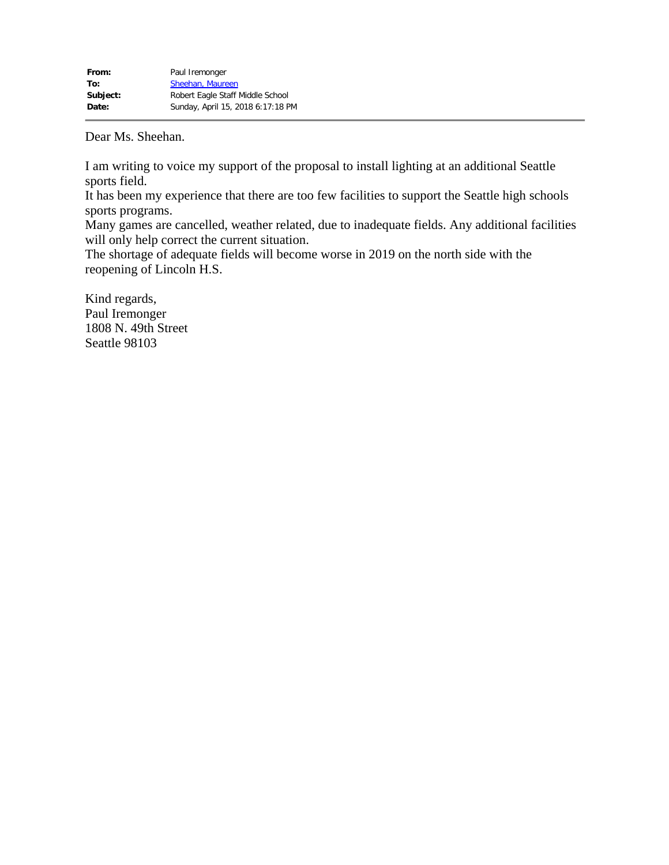I am writing to voice my support of the proposal to install lighting at an additional Seattle sports field.

It has been my experience that there are too few facilities to support the Seattle high schools sports programs.

Many games are cancelled, weather related, due to inadequate fields. Any additional facilities will only help correct the current situation.

The shortage of adequate fields will become worse in 2019 on the north side with the reopening of Lincoln H.S.

Kind regards, Paul Iremonger 1808 N. 49th Street Seattle 98103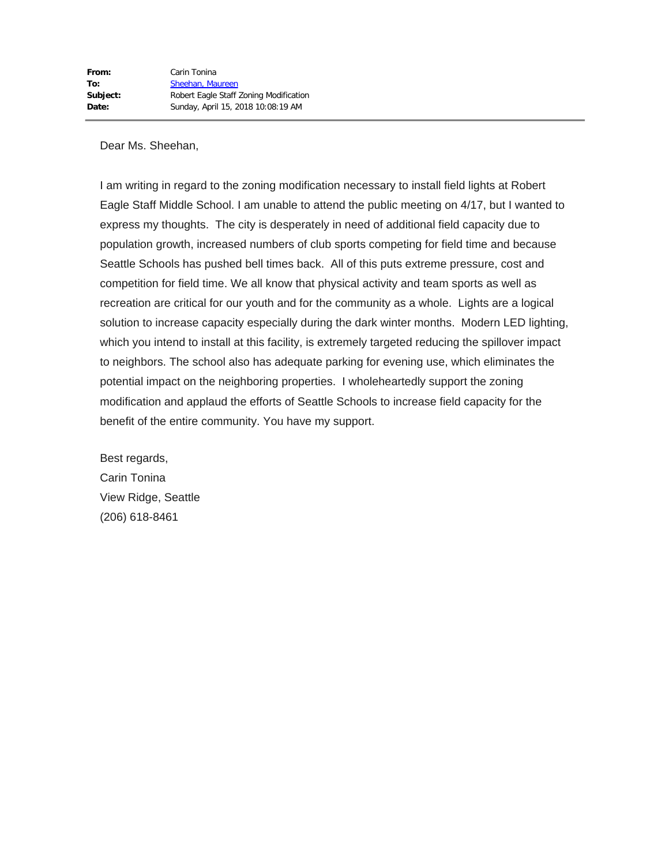I am writing in regard to the zoning modification necessary to install field lights at Robert Eagle Staff Middle School. I am unable to attend the public meeting on 4/17, but I wanted to express my thoughts. The city is desperately in need of additional field capacity due to population growth, increased numbers of club sports competing for field time and because Seattle Schools has pushed bell times back. All of this puts extreme pressure, cost and competition for field time. We all know that physical activity and team sports as well as recreation are critical for our youth and for the community as a whole. Lights are a logical solution to increase capacity especially during the dark winter months. Modern LED lighting, which you intend to install at this facility, is extremely targeted reducing the spillover impact to neighbors. The school also has adequate parking for evening use, which eliminates the potential impact on the neighboring properties. I wholeheartedly support the zoning modification and applaud the efforts of Seattle Schools to increase field capacity for the benefit of the entire community. You have my support.

Best regards, Carin Tonina View Ridge, Seattle (206) 618-8461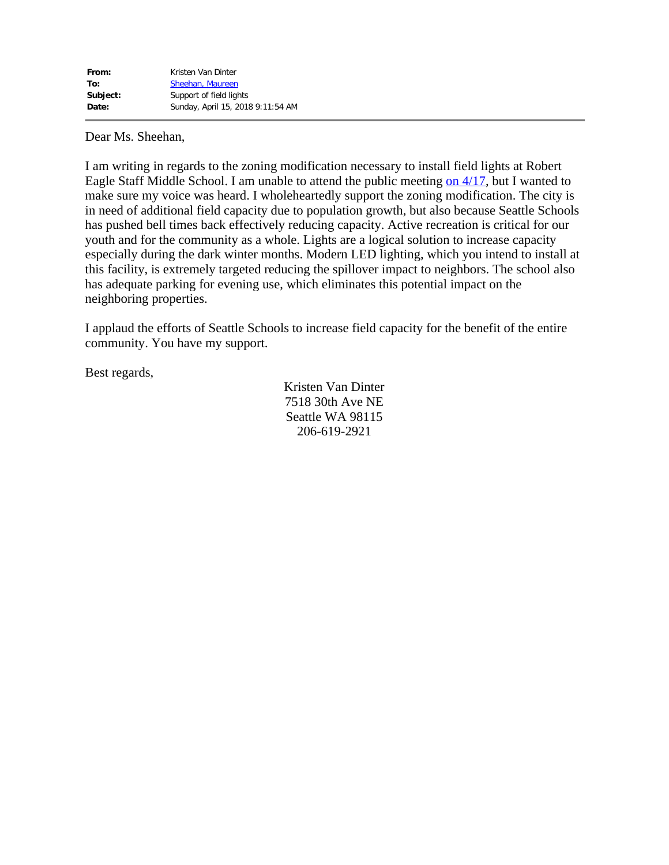I am writing in regards to the zoning modification necessary to install field lights at Robert Eagle Staff Middle School. I am unable to attend the public meeting [on 4/17](x-apple-data-detectors://0/), but I wanted to make sure my voice was heard. I wholeheartedly support the zoning modification. The city is in need of additional field capacity due to population growth, but also because Seattle Schools has pushed bell times back effectively reducing capacity. Active recreation is critical for our youth and for the community as a whole. Lights are a logical solution to increase capacity especially during the dark winter months. Modern LED lighting, which you intend to install at this facility, is extremely targeted reducing the spillover impact to neighbors. The school also has adequate parking for evening use, which eliminates this potential impact on the neighboring properties.

I applaud the efforts of Seattle Schools to increase field capacity for the benefit of the entire community. You have my support.

Best regards,

Kristen Van Dinter 7518 30th Ave NE Seattle WA 98115 206-619-2921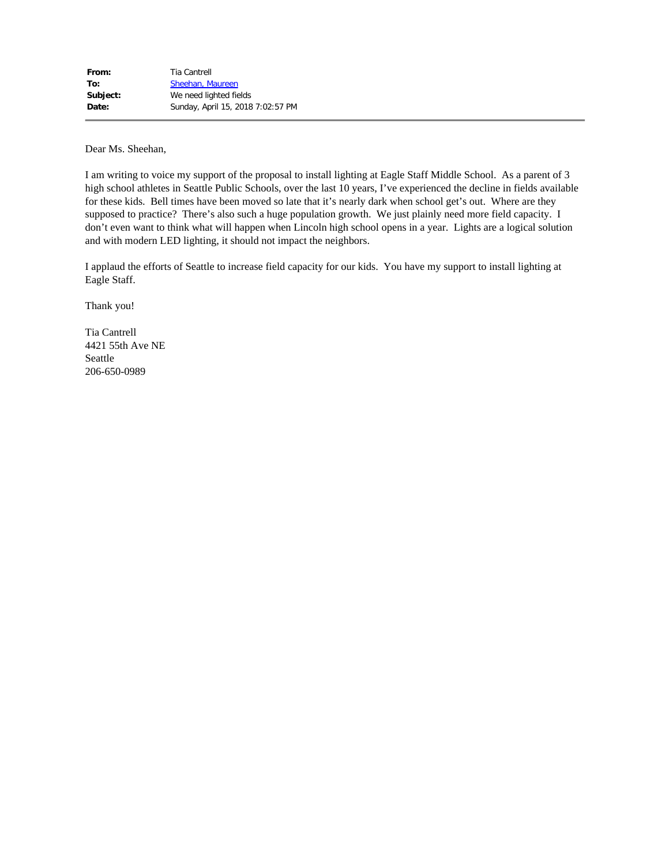I am writing to voice my support of the proposal to install lighting at Eagle Staff Middle School. As a parent of 3 high school athletes in Seattle Public Schools, over the last 10 years, I've experienced the decline in fields available for these kids. Bell times have been moved so late that it's nearly dark when school get's out. Where are they supposed to practice? There's also such a huge population growth. We just plainly need more field capacity. I don't even want to think what will happen when Lincoln high school opens in a year. Lights are a logical solution and with modern LED lighting, it should not impact the neighbors.

I applaud the efforts of Seattle to increase field capacity for our kids. You have my support to install lighting at Eagle Staff.

Thank you!

Tia Cantrell 4421 55th Ave NE Seattle 206-650-0989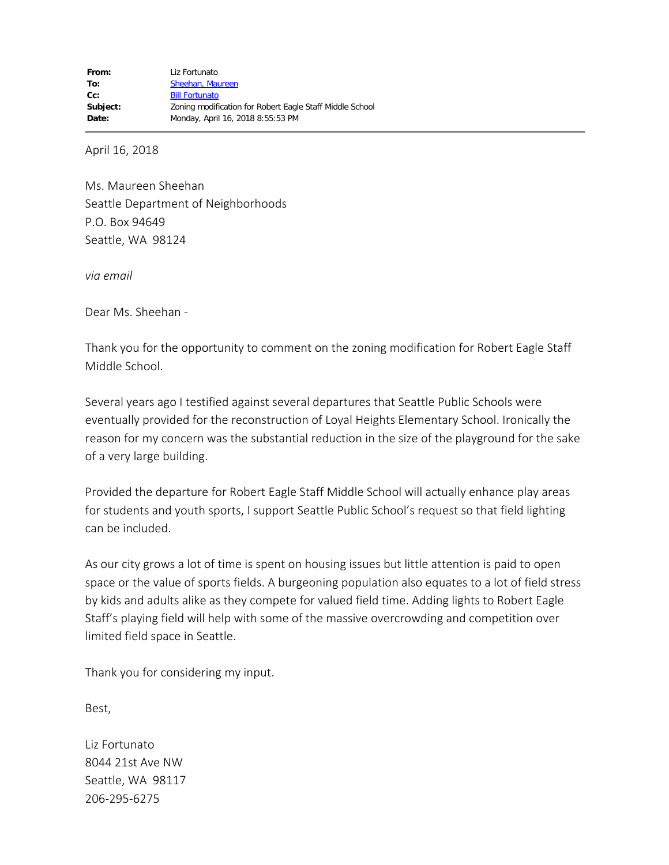April 16, 2018

Ms. Maureen Sheehan Seattle Department of Neighborhoods P.O. Box 94649 Seattle, WA 98124

*via email*

Dear Ms. Sheehan -

Thank you for the opportunity to comment on the zoning modification for Robert Eagle Staff Middle School.

Several years ago I testified against several departures that Seattle Public Schools were eventually provided for the reconstruction of Loyal Heights Elementary School. Ironically the reason for my concern was the substantial reduction in the size of the playground for the sake of a very large building.

Provided the departure for Robert Eagle Staff Middle School will actually enhance play areas for students and youth sports, I support Seattle Public School's request so that field lighting can be included.

As our city grows a lot of time is spent on housing issues but little attention is paid to open space or the value of sports fields. A burgeoning population also equates to a lot of field stress by kids and adults alike as they compete for valued field time. Adding lights to Robert Eagle Staff's playing field will help with some of the massive overcrowding and competition over limited field space in Seattle.

Thank you for considering my input.

Best,

Liz Fortunato 8044 21st Ave NW Seattle, WA 98117 206-295-6275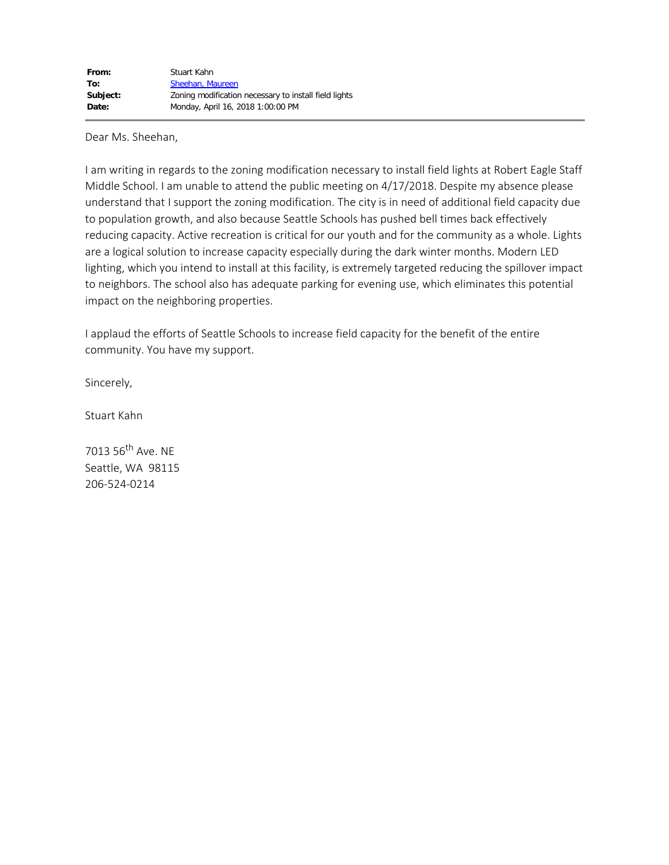I am writing in regards to the zoning modification necessary to install field lights at Robert Eagle Staff Middle School. I am unable to attend the public meeting on 4/17/2018. Despite my absence please understand that I support the zoning modification. The city is in need of additional field capacity due to population growth, and also because Seattle Schools has pushed bell times back effectively reducing capacity. Active recreation is critical for our youth and for the community as a whole. Lights are a logical solution to increase capacity especially during the dark winter months. Modern LED lighting, which you intend to install at this facility, is extremely targeted reducing the spillover impact to neighbors. The school also has adequate parking for evening use, which eliminates this potential impact on the neighboring properties.

I applaud the efforts of Seattle Schools to increase field capacity for the benefit of the entire community. You have my support.

Sincerely,

Stuart Kahn

7013 56<sup>th</sup> Ave. NE Seattle, WA 98115 206-524-0214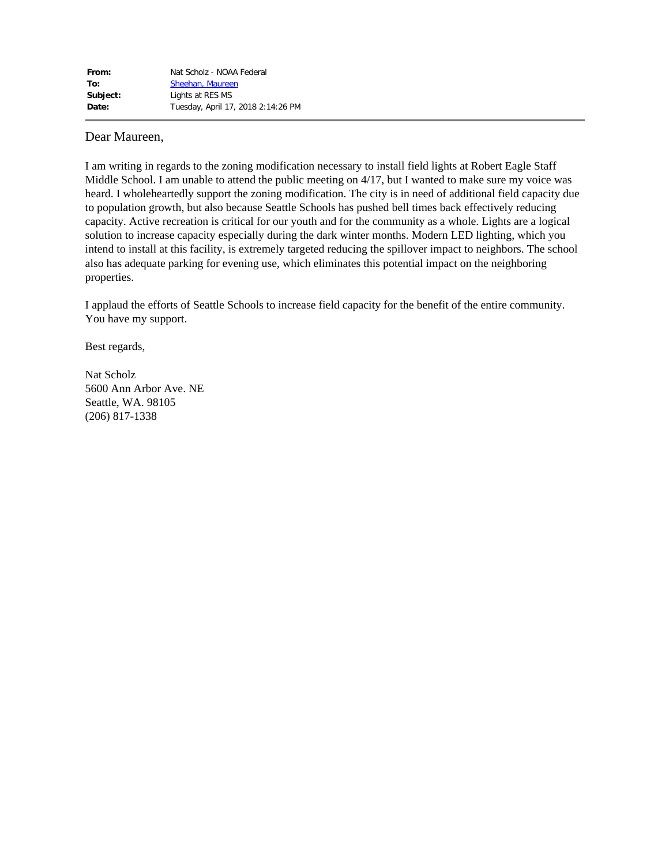# Dear Maureen,

I am writing in regards to the zoning modification necessary to install field lights at Robert Eagle Staff Middle School. I am unable to attend the public meeting on 4/17, but I wanted to make sure my voice was heard. I wholeheartedly support the zoning modification. The city is in need of additional field capacity due to population growth, but also because Seattle Schools has pushed bell times back effectively reducing capacity. Active recreation is critical for our youth and for the community as a whole. Lights are a logical solution to increase capacity especially during the dark winter months. Modern LED lighting, which you intend to install at this facility, is extremely targeted reducing the spillover impact to neighbors. The school also has adequate parking for evening use, which eliminates this potential impact on the neighboring properties.

I applaud the efforts of Seattle Schools to increase field capacity for the benefit of the entire community. You have my support.

Best regards,

Nat Scholz 5600 Ann Arbor Ave. NE Seattle, WA. 98105 (206) 817-1338